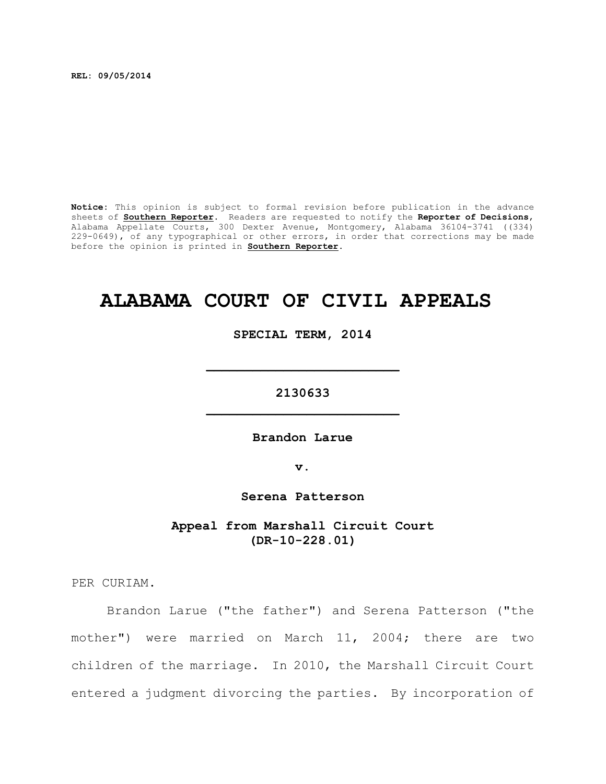**REL: 09/05/2014**

**Notice:** This opinion is subject to formal revision before publication in the advance sheets of **Southern Reporter**. Readers are requested to notify the **Reporter of Decisions**, Alabama Appellate Courts, 300 Dexter Avenue, Montgomery, Alabama 36104-3741 ((334) 229-0649), of any typographical or other errors, in order that corrections may be made before the opinion is printed in **Southern Reporter**.

# **ALABAMA COURT OF CIVIL APPEALS**

**SPECIAL TERM, 2014**

**\_\_\_\_\_\_\_\_\_\_\_\_\_\_\_\_\_\_\_\_\_\_\_\_\_**

**2130633 \_\_\_\_\_\_\_\_\_\_\_\_\_\_\_\_\_\_\_\_\_\_\_\_\_**

**Brandon Larue**

**v.**

**Serena Patterson**

**Appeal from Marshall Circuit Court (DR-10-228.01)**

PER CURIAM.

Brandon Larue ("the father") and Serena Patterson ("the mother") were married on March 11, 2004; there are two children of the marriage. In 2010, the Marshall Circuit Court entered a judgment divorcing the parties. By incorporation of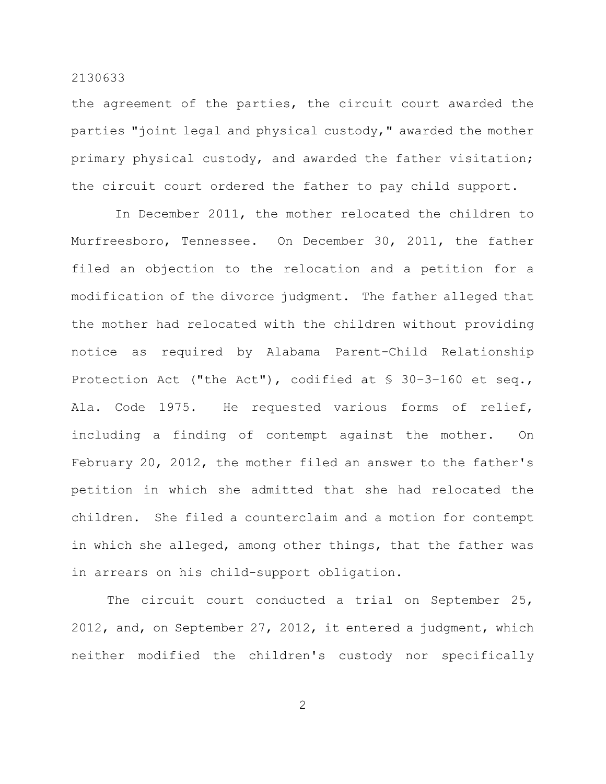the agreement of the parties, the circuit court awarded the parties "joint legal and physical custody," awarded the mother primary physical custody, and awarded the father visitation; the circuit court ordered the father to pay child support.

In December 2011, the mother relocated the children to Murfreesboro, Tennessee. On December 30, 2011, the father filed an objection to the relocation and a petition for a modification of the divorce judgment. The father alleged that the mother had relocated with the children without providing notice as required by Alabama Parent-Child Relationship Protection Act ("the Act"), codified at § 30–3–160 et seq., Ala. Code 1975. He requested various forms of relief, including a finding of contempt against the mother. On February 20, 2012, the mother filed an answer to the father's petition in which she admitted that she had relocated the children. She filed a counterclaim and a motion for contempt in which she alleged, among other things, that the father was in arrears on his child-support obligation.

The circuit court conducted a trial on September 25, 2012, and, on September 27, 2012, it entered a judgment, which neither modified the children's custody nor specifically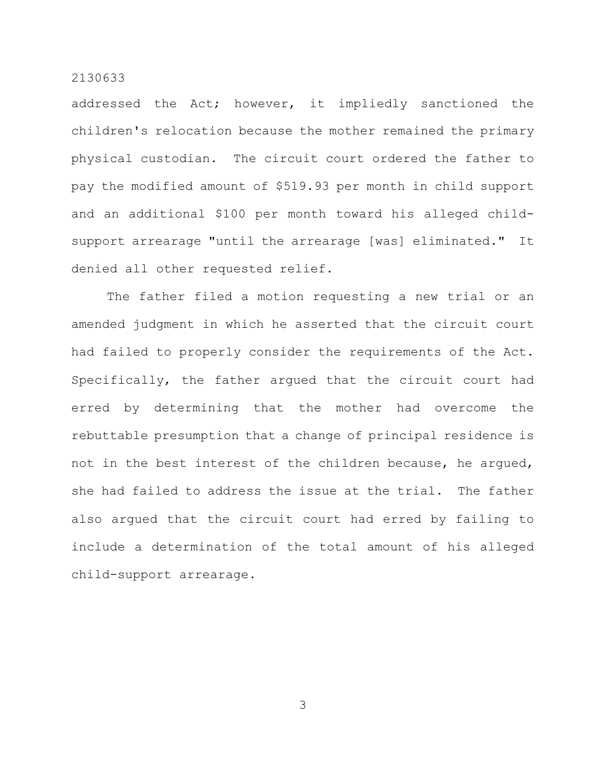addressed the Act; however, it impliedly sanctioned the children's relocation because the mother remained the primary physical custodian. The circuit court ordered the father to pay the modified amount of \$519.93 per month in child support and an additional \$100 per month toward his alleged childsupport arrearage "until the arrearage [was] eliminated." It denied all other requested relief.

The father filed a motion requesting a new trial or an amended judgment in which he asserted that the circuit court had failed to properly consider the requirements of the Act. Specifically, the father argued that the circuit court had erred by determining that the mother had overcome the rebuttable presumption that a change of principal residence is not in the best interest of the children because, he argued, she had failed to address the issue at the trial. The father also argued that the circuit court had erred by failing to include a determination of the total amount of his alleged child-support arrearage.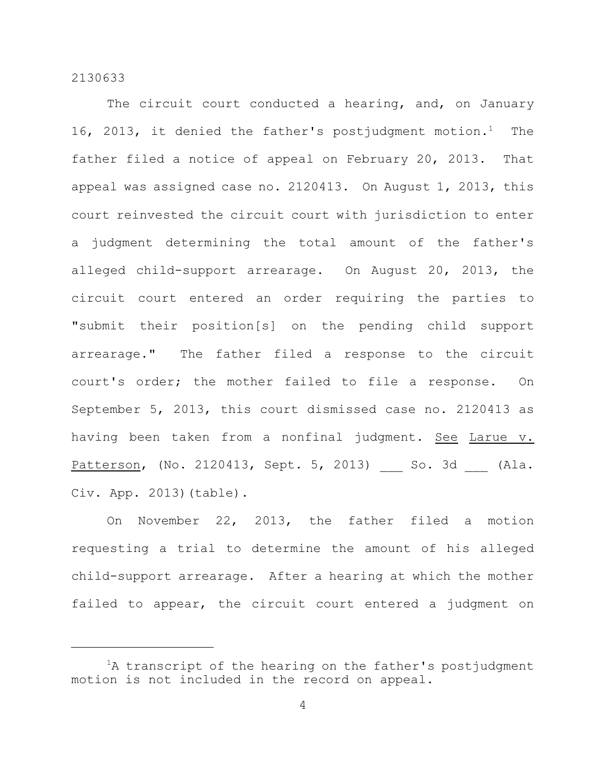The circuit court conducted a hearing, and, on January 16, 2013, it denied the father's postjudgment motion.<sup>1</sup> The father filed a notice of appeal on February 20, 2013. That appeal was assigned case no. 2120413. On August 1, 2013, this court reinvested the circuit court with jurisdiction to enter a judgment determining the total amount of the father's alleged child-support arrearage. On August 20, 2013, the circuit court entered an order requiring the parties to "submit their position[s] on the pending child support arrearage." The father filed a response to the circuit court's order; the mother failed to file a response. On September 5, 2013, this court dismissed case no. 2120413 as having been taken from a nonfinal judgment. See Larue v. Patterson, (No. 2120413, Sept. 5, 2013) 50. 3d (Ala. Civ. App. 2013)(table).

On November 22, 2013, the father filed a motion requesting a trial to determine the amount of his alleged child-support arrearage. After a hearing at which the mother failed to appear, the circuit court entered a judgment on

 ${}^{1}$ A transcript of the hearing on the father's postjudgment motion is not included in the record on appeal.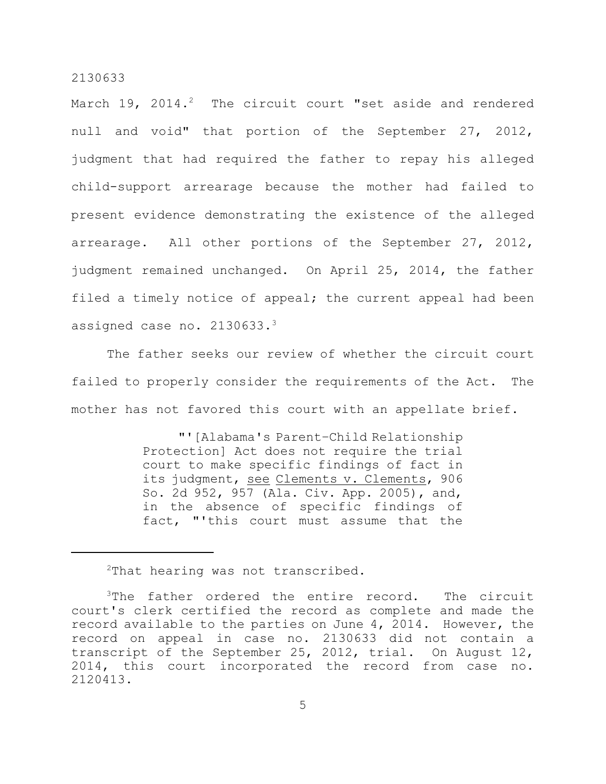March  $19$ ,  $2014.^2$  The circuit court "set aside and rendered null and void" that portion of the September 27, 2012, judgment that had required the father to repay his alleged child-support arrearage because the mother had failed to present evidence demonstrating the existence of the alleged arrearage. All other portions of the September 27, 2012, judgment remained unchanged. On April 25, 2014, the father filed a timely notice of appeal; the current appeal had been assigned case no. 2130633. 3

The father seeks our review of whether the circuit court failed to properly consider the requirements of the Act. The mother has not favored this court with an appellate brief.

> "'[Alabama's Parent–Child Relationship Protection] Act does not require the trial court to make specific findings of fact in its judgment, see Clements v. Clements, 906 So. 2d 952, 957 (Ala. Civ. App. 2005), and, in the absence of specific findings of fact, "'this court must assume that the

 $2$ That hearing was not transcribed.

 $3$ The father ordered the entire record. The circuit court's clerk certified the record as complete and made the record available to the parties on June 4, 2014. However, the record on appeal in case no. 2130633 did not contain a transcript of the September 25, 2012, trial. On August 12, 2014, this court incorporated the record from case no. 2120413.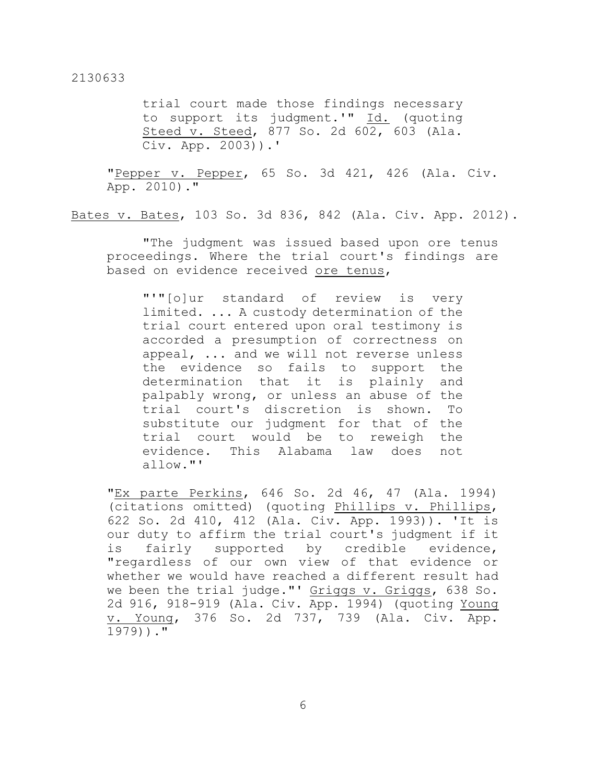trial court made those findings necessary to support its judgment.'" Id. (quoting Steed v. Steed, 877 So. 2d 602, 603 (Ala. Civ. App. 2003)).'

"Pepper v. Pepper, 65 So. 3d 421, 426 (Ala. Civ. App. 2010)."

Bates v. Bates, 103 So. 3d 836, 842 (Ala. Civ. App. 2012).

"The judgment was issued based upon ore tenus proceedings. Where the trial court's findings are based on evidence received ore tenus,

"'"[o]ur standard of review is very limited. ... A custody determination of the trial court entered upon oral testimony is accorded a presumption of correctness on appeal, ... and we will not reverse unless the evidence so fails to support the determination that it is plainly and palpably wrong, or unless an abuse of the trial court's discretion is shown. To substitute our judgment for that of the trial court would be to reweigh the evidence. This Alabama law does not allow."'

"Ex parte Perkins, 646 So. 2d 46, 47 (Ala. 1994) (citations omitted) (quoting Phillips v. Phillips, 622 So. 2d 410, 412 (Ala. Civ. App. 1993)). 'It is our duty to affirm the trial court's judgment if it is fairly supported by credible evidence, "regardless of our own view of that evidence or whether we would have reached a different result had we been the trial judge."' Griggs v. Griggs, 638 So. 2d 916, 918-919 (Ala. Civ. App. 1994) (quoting Young v. Young, 376 So. 2d 737, 739 (Ala. Civ. App. 1979))."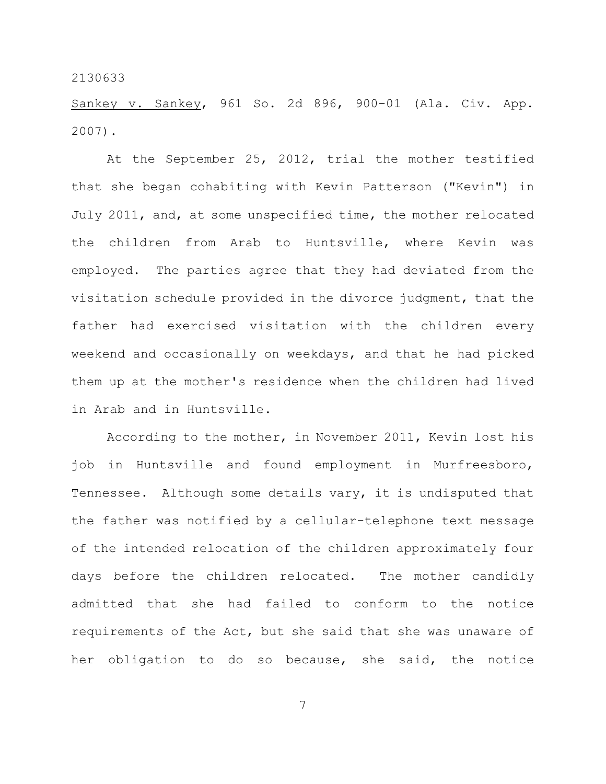Sankey v. Sankey, 961 So. 2d 896, 900-01 (Ala. Civ. App. 2007).

At the September 25, 2012, trial the mother testified that she began cohabiting with Kevin Patterson ("Kevin") in July 2011, and, at some unspecified time, the mother relocated the children from Arab to Huntsville, where Kevin was employed. The parties agree that they had deviated from the visitation schedule provided in the divorce judgment, that the father had exercised visitation with the children every weekend and occasionally on weekdays, and that he had picked them up at the mother's residence when the children had lived in Arab and in Huntsville.

According to the mother, in November 2011, Kevin lost his job in Huntsville and found employment in Murfreesboro, Tennessee. Although some details vary, it is undisputed that the father was notified by a cellular-telephone text message of the intended relocation of the children approximately four days before the children relocated. The mother candidly admitted that she had failed to conform to the notice requirements of the Act, but she said that she was unaware of her obligation to do so because, she said, the notice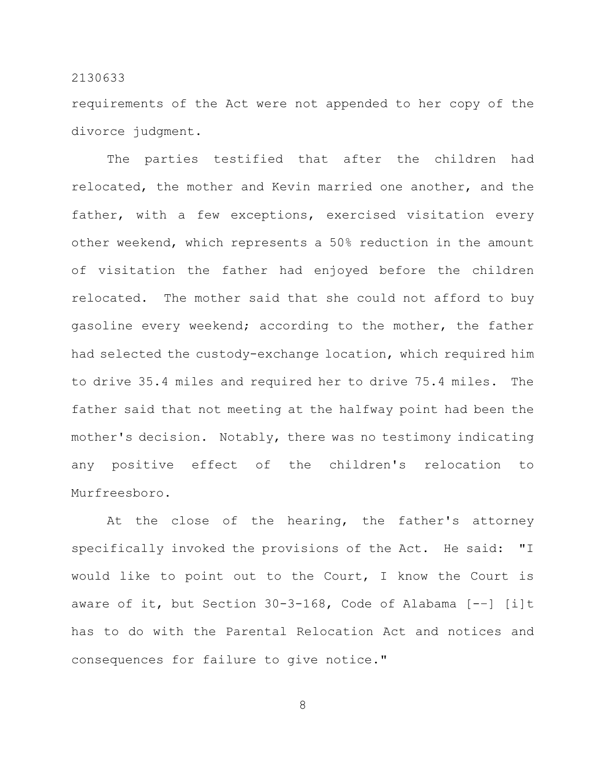requirements of the Act were not appended to her copy of the divorce judgment.

The parties testified that after the children had relocated, the mother and Kevin married one another, and the father, with a few exceptions, exercised visitation every other weekend, which represents a 50% reduction in the amount of visitation the father had enjoyed before the children relocated. The mother said that she could not afford to buy gasoline every weekend; according to the mother, the father had selected the custody-exchange location, which required him to drive 35.4 miles and required her to drive 75.4 miles. The father said that not meeting at the halfway point had been the mother's decision. Notably, there was no testimony indicating any positive effect of the children's relocation to Murfreesboro.

At the close of the hearing, the father's attorney specifically invoked the provisions of the Act. He said: "I would like to point out to the Court, I know the Court is aware of it, but Section 30-3-168, Code of Alabama [-–] [i]t has to do with the Parental Relocation Act and notices and consequences for failure to give notice."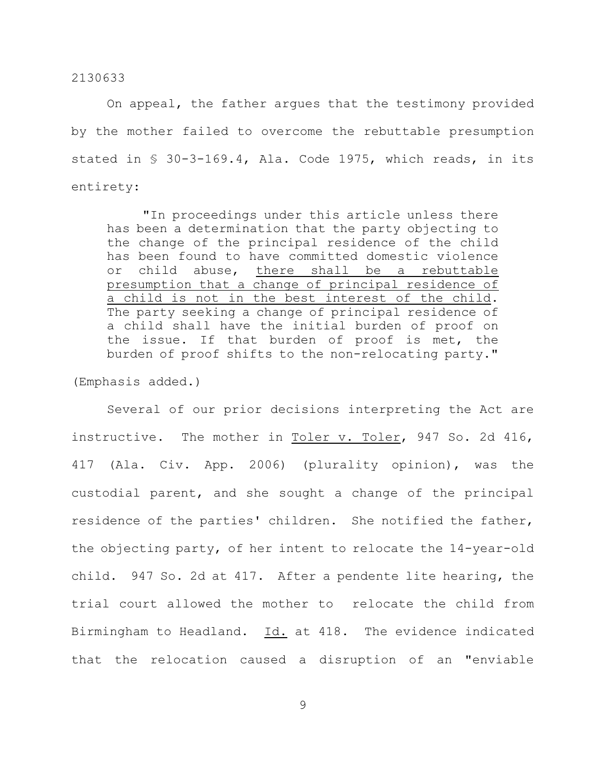On appeal, the father argues that the testimony provided by the mother failed to overcome the rebuttable presumption stated in § 30-3-169.4, Ala. Code 1975, which reads, in its entirety:

"In proceedings under this article unless there has been a determination that the party objecting to the change of the principal residence of the child has been found to have committed domestic violence or child abuse, there shall be a rebuttable presumption that a change of principal residence of a child is not in the best interest of the child. The party seeking a change of principal residence of a child shall have the initial burden of proof on the issue. If that burden of proof is met, the burden of proof shifts to the non-relocating party."

(Emphasis added.)

Several of our prior decisions interpreting the Act are instructive. The mother in Toler v. Toler, 947 So. 2d 416, 417 (Ala. Civ. App. 2006) (plurality opinion), was the custodial parent, and she sought a change of the principal residence of the parties' children. She notified the father, the objecting party, of her intent to relocate the 14-year-old child. 947 So. 2d at 417. After a pendente lite hearing, the trial court allowed the mother to relocate the child from Birmingham to Headland. Id. at 418. The evidence indicated that the relocation caused a disruption of an "enviable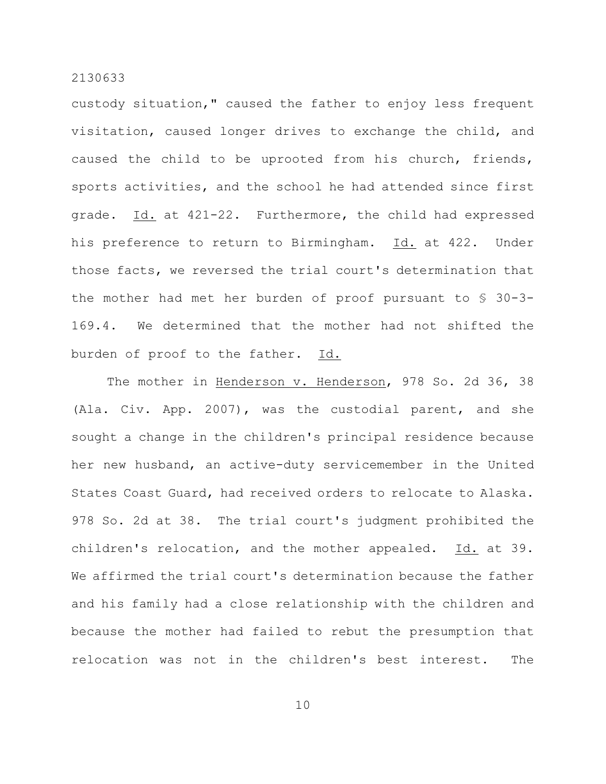custody situation," caused the father to enjoy less frequent visitation, caused longer drives to exchange the child, and caused the child to be uprooted from his church, friends, sports activities, and the school he had attended since first grade. Id. at 421-22. Furthermore, the child had expressed his preference to return to Birmingham. Id. at 422. Under those facts, we reversed the trial court's determination that the mother had met her burden of proof pursuant to § 30-3- 169.4. We determined that the mother had not shifted the burden of proof to the father. Id.

The mother in Henderson v. Henderson, 978 So. 2d 36, 38 (Ala. Civ. App. 2007), was the custodial parent, and she sought a change in the children's principal residence because her new husband, an active-duty servicemember in the United States Coast Guard, had received orders to relocate to Alaska. 978 So. 2d at 38. The trial court's judgment prohibited the children's relocation, and the mother appealed. Id. at 39. We affirmed the trial court's determination because the father and his family had a close relationship with the children and because the mother had failed to rebut the presumption that relocation was not in the children's best interest. The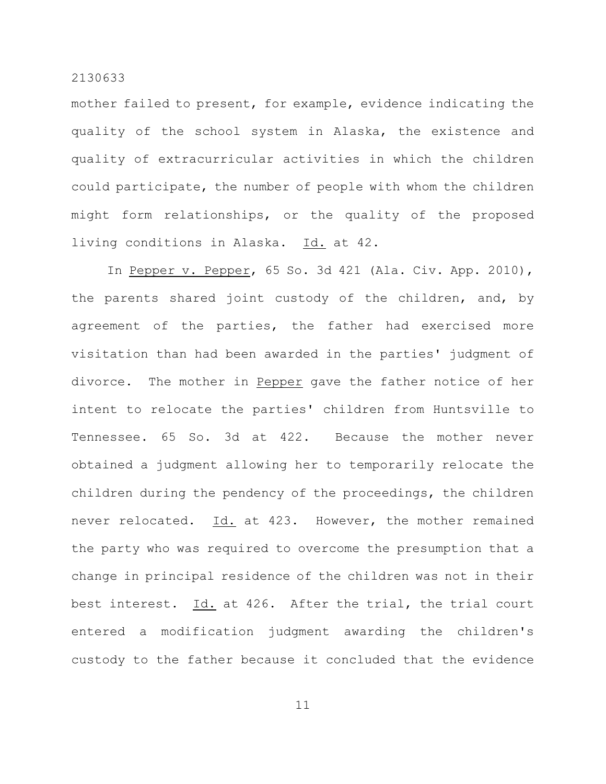mother failed to present, for example, evidence indicating the quality of the school system in Alaska, the existence and quality of extracurricular activities in which the children could participate, the number of people with whom the children might form relationships, or the quality of the proposed living conditions in Alaska. Id. at 42.

In Pepper v. Pepper, 65 So. 3d 421 (Ala. Civ. App. 2010), the parents shared joint custody of the children, and, by agreement of the parties, the father had exercised more visitation than had been awarded in the parties' judgment of divorce. The mother in Pepper gave the father notice of her intent to relocate the parties' children from Huntsville to Tennessee. 65 So. 3d at 422. Because the mother never obtained a judgment allowing her to temporarily relocate the children during the pendency of the proceedings, the children never relocated. Id. at 423. However, the mother remained the party who was required to overcome the presumption that a change in principal residence of the children was not in their best interest. Id. at 426. After the trial, the trial court entered a modification judgment awarding the children's custody to the father because it concluded that the evidence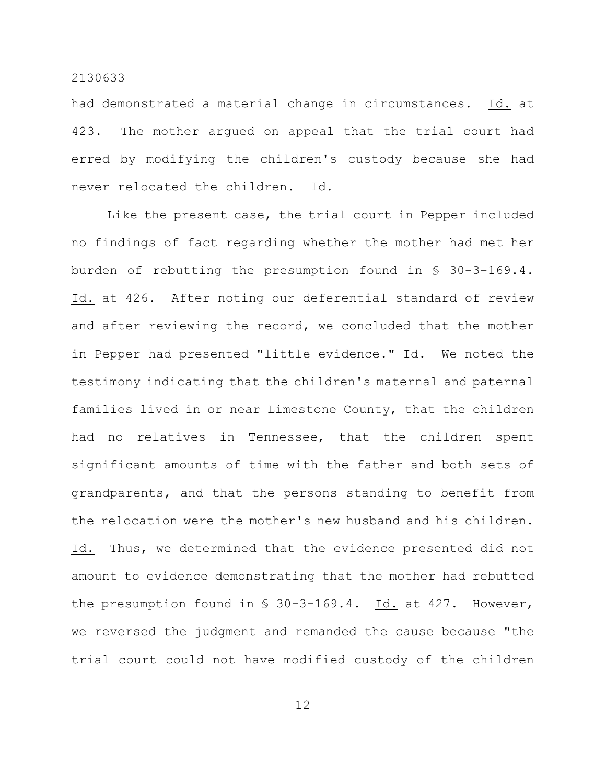had demonstrated a material change in circumstances. Id. at 423. The mother argued on appeal that the trial court had erred by modifying the children's custody because she had never relocated the children. Id.

Like the present case, the trial court in Pepper included no findings of fact regarding whether the mother had met her burden of rebutting the presumption found in § 30-3-169.4. Id. at 426. After noting our deferential standard of review and after reviewing the record, we concluded that the mother in Pepper had presented "little evidence." Id. We noted the testimony indicating that the children's maternal and paternal families lived in or near Limestone County, that the children had no relatives in Tennessee, that the children spent significant amounts of time with the father and both sets of grandparents, and that the persons standing to benefit from the relocation were the mother's new husband and his children. Id. Thus, we determined that the evidence presented did not amount to evidence demonstrating that the mother had rebutted the presumption found in  $\frac{1}{5}$  30-3-169.4. Id. at 427. However, we reversed the judgment and remanded the cause because "the trial court could not have modified custody of the children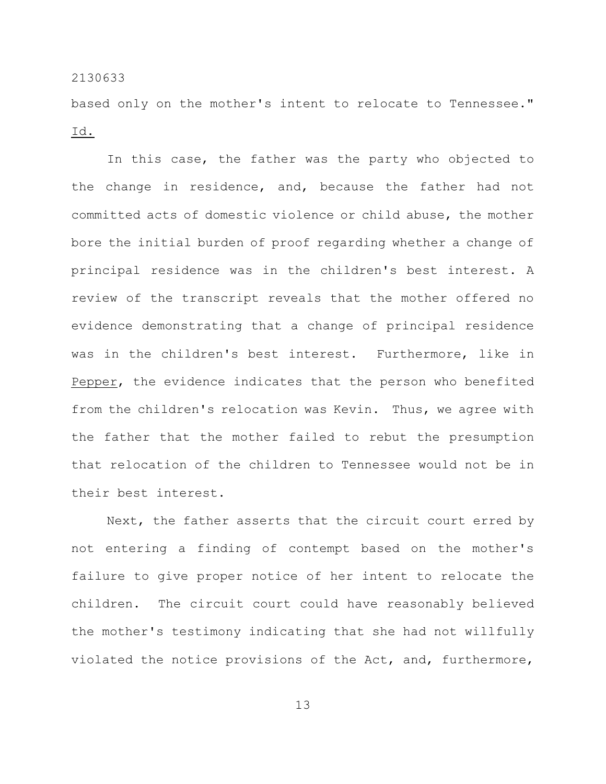based only on the mother's intent to relocate to Tennessee." Id.

In this case, the father was the party who objected to the change in residence, and, because the father had not committed acts of domestic violence or child abuse, the mother bore the initial burden of proof regarding whether a change of principal residence was in the children's best interest. A review of the transcript reveals that the mother offered no evidence demonstrating that a change of principal residence was in the children's best interest. Furthermore, like in Pepper, the evidence indicates that the person who benefited from the children's relocation was Kevin. Thus, we agree with the father that the mother failed to rebut the presumption that relocation of the children to Tennessee would not be in their best interest.

Next, the father asserts that the circuit court erred by not entering a finding of contempt based on the mother's failure to give proper notice of her intent to relocate the children. The circuit court could have reasonably believed the mother's testimony indicating that she had not willfully violated the notice provisions of the Act, and, furthermore,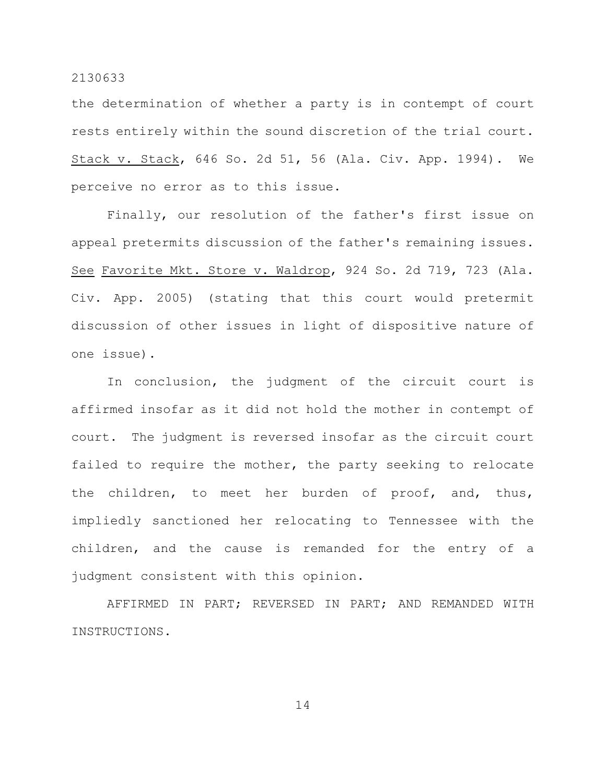the determination of whether a party is in contempt of court rests entirely within the sound discretion of the trial court. Stack v. Stack, 646 So. 2d 51, 56 (Ala. Civ. App. 1994). We perceive no error as to this issue.

Finally, our resolution of the father's first issue on appeal pretermits discussion of the father's remaining issues. See Favorite Mkt. Store v. Waldrop, 924 So. 2d 719, 723 (Ala. Civ. App. 2005) (stating that this court would pretermit discussion of other issues in light of dispositive nature of one issue).

In conclusion, the judgment of the circuit court is affirmed insofar as it did not hold the mother in contempt of court. The judgment is reversed insofar as the circuit court failed to require the mother, the party seeking to relocate the children, to meet her burden of proof, and, thus, impliedly sanctioned her relocating to Tennessee with the children, and the cause is remanded for the entry of a judgment consistent with this opinion.

AFFIRMED IN PART; REVERSED IN PART; AND REMANDED WITH INSTRUCTIONS.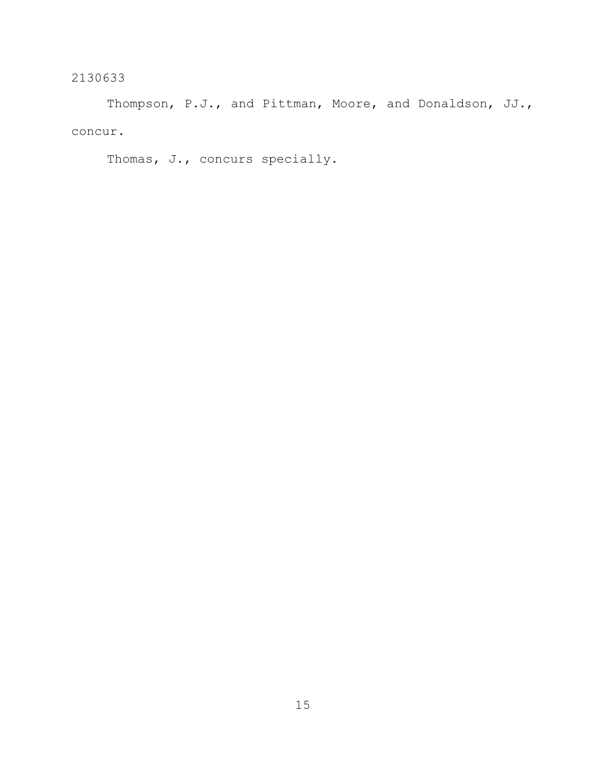Thompson, P.J., and Pittman, Moore, and Donaldson, JJ., concur.

Thomas, J., concurs specially.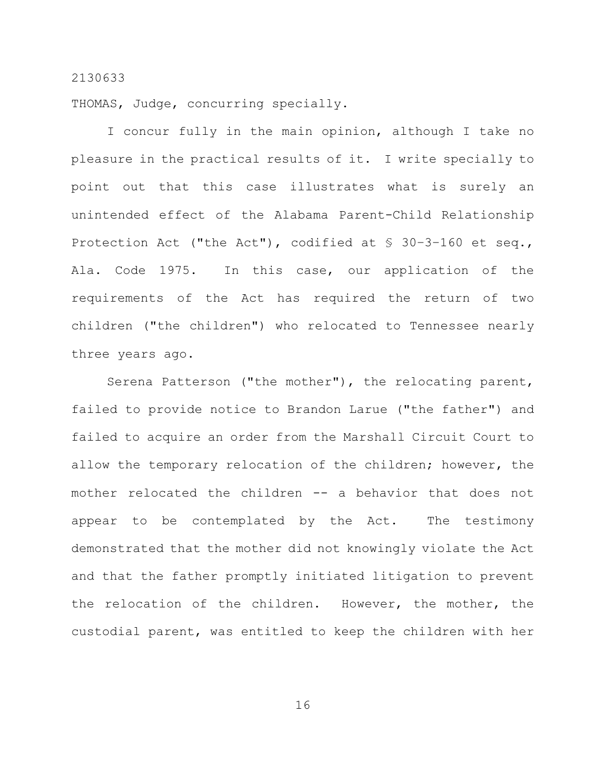THOMAS, Judge, concurring specially.

I concur fully in the main opinion, although I take no pleasure in the practical results of it. I write specially to point out that this case illustrates what is surely an unintended effect of the Alabama Parent-Child Relationship Protection Act ("the Act"), codified at § 30–3–160 et seq., Ala. Code 1975. In this case, our application of the requirements of the Act has required the return of two children ("the children") who relocated to Tennessee nearly three years ago.

Serena Patterson ("the mother"), the relocating parent, failed to provide notice to Brandon Larue ("the father") and failed to acquire an order from the Marshall Circuit Court to allow the temporary relocation of the children; however, the mother relocated the children -- a behavior that does not appear to be contemplated by the Act. The testimony demonstrated that the mother did not knowingly violate the Act and that the father promptly initiated litigation to prevent the relocation of the children. However, the mother, the custodial parent, was entitled to keep the children with her